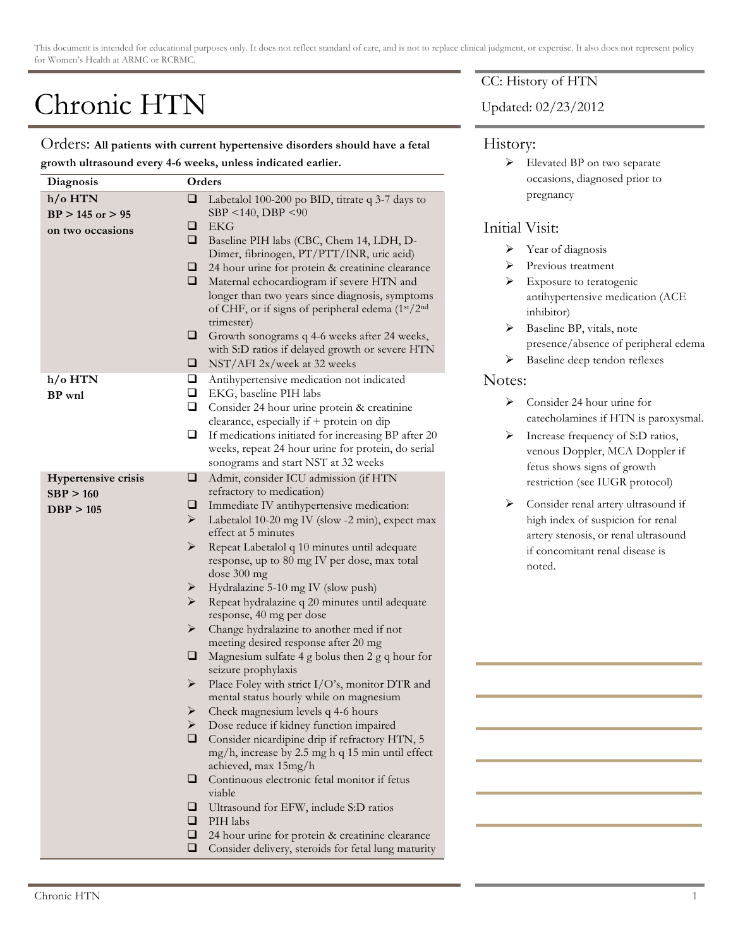This document is intended for educational purposes only. It does not reflect standard of care, and is not to replace clinical judgment, or expertise. It also does not represent policy for Women's Health at ARMC or RCRMC.

# Chronic HTN

Orders: **All patients with current hypertensive disorders should have a fetal growth ultrasound every 4-6 weeks, unless indicated earlier.**

| Diagnosis                                            | Orders                                                                                                                                                                                                                                                                                                                                                                                                                                                                                                                                                                                                                                                                                                                                                                                                                                                                                                                                                                                                                                                                                                                                                                                                                 |
|------------------------------------------------------|------------------------------------------------------------------------------------------------------------------------------------------------------------------------------------------------------------------------------------------------------------------------------------------------------------------------------------------------------------------------------------------------------------------------------------------------------------------------------------------------------------------------------------------------------------------------------------------------------------------------------------------------------------------------------------------------------------------------------------------------------------------------------------------------------------------------------------------------------------------------------------------------------------------------------------------------------------------------------------------------------------------------------------------------------------------------------------------------------------------------------------------------------------------------------------------------------------------------|
| h/o HTN<br>$BP > 145$ or $> 95$<br>on two occasions  | ❏<br>Labetalol 100-200 po BID, titrate q 3-7 days to<br>SBP <140, DBP <90<br><b>EKG</b><br>⊔<br>❏<br>Baseline PIH labs (CBC, Chem 14, LDH, D-<br>Dimer, fibrinogen, PT/PTT/INR, uric acid)<br>24 hour urine for protein & creatinine clearance<br>⊔<br>□<br>Maternal echocardiogram if severe HTN and<br>longer than two years since diagnosis, symptoms<br>of CHF, or if signs of peripheral edema (1st/2nd<br>trimester)<br>⊔<br>Growth sonograms q 4-6 weeks after 24 weeks,<br>with S:D ratios if delayed growth or severe HTN<br>NST/AFI 2x/week at 32 weeks<br>⊔                                                                                                                                                                                                                                                                                                                                                                                                                                                                                                                                                                                                                                                 |
| $h$ /o HTN<br>BP wnl                                 | u<br>Antihypertensive medication not indicated<br>Q.<br>EKG, baseline PIH labs<br>o.<br>Consider 24 hour urine protein & creatinine<br>clearance, especially if + protein on dip<br>❏<br>If medications initiated for increasing BP after 20<br>weeks, repeat 24 hour urine for protein, do serial<br>sonograms and start NST at 32 weeks                                                                                                                                                                                                                                                                                                                                                                                                                                                                                                                                                                                                                                                                                                                                                                                                                                                                              |
| <b>Hypertensive crisis</b><br>SBP > 160<br>DBP > 105 | ❏<br>Admit, consider ICU admission (if HTN<br>refractory to medication)<br>⊔<br>Immediate IV antihypertensive medication:<br>➤<br>Labetalol 10-20 mg IV (slow -2 min), expect max<br>effect at 5 minutes<br>➤<br>Repeat Labetalol q 10 minutes until adequate<br>response, up to 80 mg IV per dose, max total<br>dose 300 mg<br>Hydralazine 5-10 mg IV (slow push)<br>➤<br>➤<br>Repeat hydralazine q 20 minutes until adequate<br>response, 40 mg per dose<br>➤<br>Change hydralazine to another med if not<br>meeting desired response after 20 mg<br>Magnesium sulfate 4 g bolus then 2 g q hour for<br>⊔<br>seizure prophylaxis<br>Place Foley with strict I/O's, monitor DTR and<br>➤<br>mental status hourly while on magnesium<br>➤<br>Check magnesium levels q 4-6 hours<br>Dose reduce if kidney function impaired<br>➤<br>◻<br>Consider nicardipine drip if refractory HTN, 5<br>mg/h, increase by 2.5 mg h q 15 min until effect<br>achieved, max 15mg/h<br>Continuous electronic fetal monitor if fetus<br>❏<br>viable<br>□<br>Ultrasound for EFW, include S:D ratios<br>❏<br>PIH labs<br>❏<br>24 hour urine for protein & creatinine clearance<br>❏<br>Consider delivery, steroids for fetal lung maturity |

### CC: History of HTN

Updated: 02/23/2012

#### History:

Elevated BP on two separate occasions, diagnosed prior to pregnancy

## Initial Visit:

- > Year of diagnosis
- > Previous treatment
- $\triangleright$  Exposure to teratogenic antihypertensive medication (ACE inhibitor)
- $\triangleright$  Baseline BP, vitals, note presence/absence of peripheral edema
- $\triangleright$  Baseline deep tendon reflexes

#### Notes:

- $\triangleright$  Consider 24 hour urine for catecholamines if HTN is paroxysmal.
- $\triangleright$  Increase frequency of S:D ratios, venous Doppler, MCA Doppler if fetus shows signs of growth restriction (see IUGR protocol)
- $\triangleright$  Consider renal artery ultrasound if high index of suspicion for renal artery stenosis, or renal ultrasound if concomitant renal disease is noted.